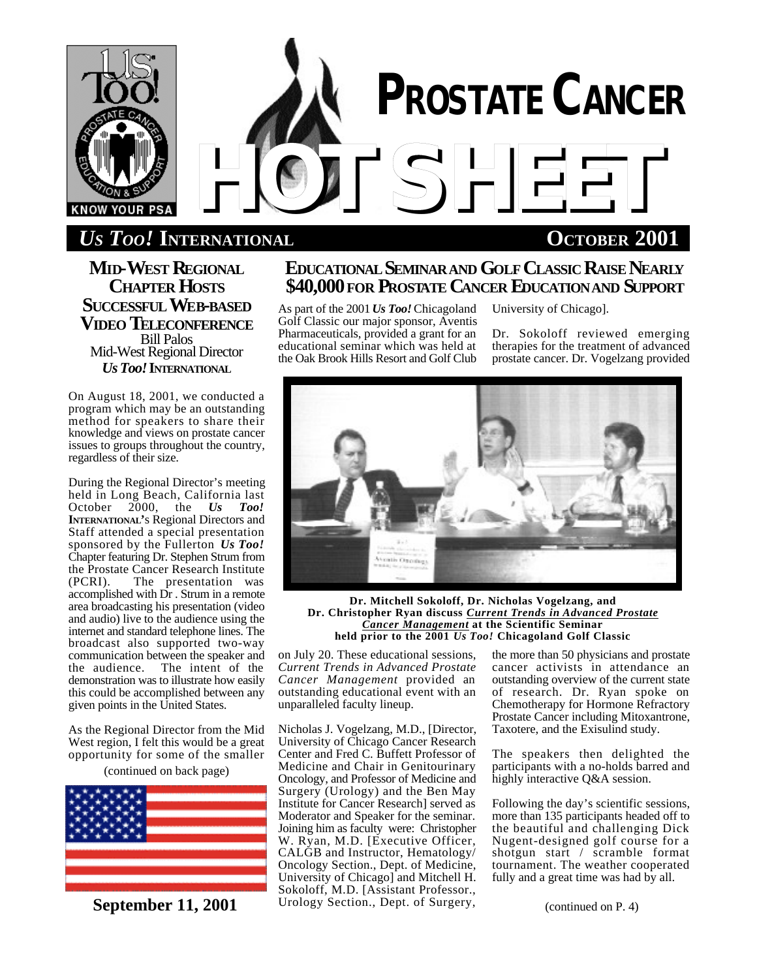

# *US TOO!* **INTERNATIONAL OCTOBER 2001**

**MID-WEST REGIONAL CHAPTER HOSTS SUCCESSFUL WEB-BASED VIDEO TELECONFERENCE** Bill Palos Mid-West Regional Director *Us Too!* **INTERNATIONAL**

On August 18, 2001, we conducted a program which may be an outstanding method for speakers to share their knowledge and views on prostate cancer issues to groups throughout the country, regardless of their size.

During the Regional Director's meeting held in Long Beach, California last October 2000, the *Us Too!* **INTERNATIONAL'**s Regional Directors and Staff attended a special presentation sponsored by the Fullerton *Us Too!* Chapter featuring Dr. Stephen Strum from the Prostate Cancer Research Institute (PCRI). The presentation was accomplished with Dr . Strum in a remote area broadcasting his presentation (video and audio) live to the audience using the internet and standard telephone lines. The broadcast also supported two-way communication between the speaker and the audience. The intent of the demonstration was to illustrate how easily this could be accomplished between any given points in the United States.

As the Regional Director from the Mid West region, I felt this would be a great opportunity for some of the smaller

## (continued on back page)



**September 11, 2001**

# **EDUCATIONAL SEMINARAND GOLF CLASSIC RAISE NEARLY \$40,000 FOR PROSTATE CANCER EDUCATIONAND SUPPORT**

As part of the 2001 *Us Too!* Chicagoland Golf Classic our major sponsor, Aventis Pharmaceuticals, provided a grant for an educational seminar which was held at the Oak Brook Hills Resort and Golf Club

University of Chicago].

Dr. Sokoloff reviewed emerging therapies for the treatment of advanced prostate cancer. Dr. Vogelzang provided



**Dr. Mitchell Sokoloff, Dr. Nicholas Vogelzang, and Dr. Christopher Ryan discuss** *Current Trends in Advanced Prostate Cancer Management* **at the Scientific Seminar held prior to the 2001** *Us Too!* **Chicagoland Golf Classic**

on July 20. These educational sessions, *Current Trends in Advanced Prostate Cancer Management* provided an outstanding educational event with an unparalleled faculty lineup.

Nicholas J. Vogelzang, M.D., [Director, University of Chicago Cancer Research Center and Fred C. Buffett Professor of Medicine and Chair in Genitourinary Oncology, and Professor of Medicine and Surgery (Urology) and the Ben May Institute for Cancer Research] served as Moderator and Speaker for the seminar. Joining him as faculty were: Christopher W. Ryan, M.D. [Executive Officer, CALGB and Instructor, Hematology/ Oncology Section., Dept. of Medicine, University of Chicago] and Mitchell H. Sokoloff, M.D. [Assistant Professor., Urology Section., Dept. of Surgery,

the more than 50 physicians and prostate cancer activists in attendance an outstanding overview of the current state of research. Dr. Ryan spoke on Chemotherapy for Hormone Refractory Prostate Cancer including Mitoxantrone, Taxotere, and the Exisulind study.

The speakers then delighted the participants with a no-holds barred and highly interactive Q&A session.

Following the day's scientific sessions, more than 135 participants headed off to the beautiful and challenging Dick Nugent-designed golf course for a shotgun start / scramble format tournament. The weather cooperated fully and a great time was had by all.

(continued on P. 4)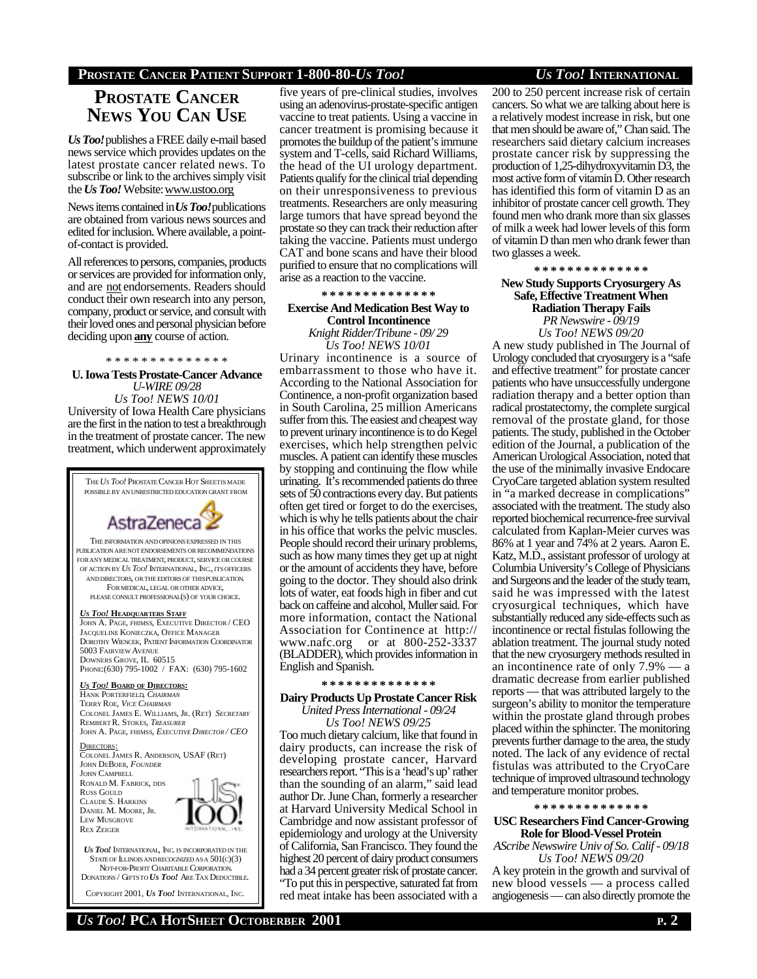## **PROSTATE CANCER PATIENT SUPPORT 1-800-80-***US TOO! US TOO!* **INTERNATIONAL**

# **PROSTATE CANCER NEWS YOU CAN USE**

*Us Too!*publishes a FREE daily e-mail based news service which provides updates on the latest prostate cancer related news. To subscribe or link to the archives simply visit the *Us Too!* Website: www.ustoo.org

News items contained in *Us Too!*publications are obtained from various news sources and edited for inclusion. Where available, a pointof-contact is provided.

All references to persons, companies, products or services are provided for information only, and are not endorsements. Readers should conduct their own research into any person, company, product or service, and consult with their loved ones and personal physician before deciding upon **any** course of action.

\* \* \* \* \* \* \* \* \* \* \* \* \* \*

## **U. Iowa Tests Prostate-Cancer Advance** *U-WIRE 09/28*

*Us Too! NEWS 10/01* University of Iowa Health Care physicians are the first in the nation to test a breakthrough in the treatment of prostate cancer. The new treatment, which underwent approximately

THE*US TOO!* PROSTATE CANCER HOT SHEETIS MADE POSSIBLE BY AN UNRESTRICTED EDUCATION GRANT FROM AstraZeneca THE INFORMATION ANDOPINIONSEXPRESSED IN THIS PUBLICATION ARE NOT ENDORSEMENTS OR RECOMMENDATIONS FOR ANY MEDICAL TREATMENT, PRODUCT, SERVICE OR COURSE OF ACTION BY *US TOO!* INTERNATIONAL, INC., ITS OFFICERS AND DIRECTORS, OR THE EDITORS OF THISPUBLICATION. FOR MEDICAL, LEGAL OR OTHER ADVICE, PLEASE CONSULT PROFESSIONAL(S) OF YOUR CHOICE. *US TOO!* **HEADQUARTERS STAFF** JOHN A. PAGE, FHIMSS, EXECUTIVE DIRECTOR / CEO JACQUELINE KONIECZKA, OFFICE MANAGER DOROTHY WIENCEK, PATIENT INFORMATION COORDINATOR 5003 FAIRVIEW AVENUE DOWNERS GROVE, IL 60515 PHONE:(630) 795-1002 / FAX: (630) 795-1602 *US TOO!* **BOARD OF DIRECTORS:** HANK PORTERFIELD, *CHAIRMAN* TERRY ROE, *VICE CHAIRMAN* COLONEL JAMES E. WILLIAMS, JR. (RET) *SECRETARY* REMBERT R. STOKES, *TREASURER* JOHN A. PAGE, FHIMSS, *EXECUTIVE DIRECTOR / CEO* DIRECTORS: COLONEL JAMES R. ANDERSON, USAF (RET)

JOHN DEBOER, *FOUNDER* JOHN CAMPBELL RONALD M. FABRICK, DDS RUSS GOULD CLAUDE S. HARKINS DANIEL M. MOORE, JR. LEW MUSGROVE REX ZEIGER



*US TOO!* INTERNATIONAL, INC. IS INCORPORATED IN THE STATE OF ILLINOIS AND RECOGNIZED AS A  $501(c)(3)$  NOT-FOR-PROFIT CHARITABLE CORPORATION. DONATIONS / GIFTSTO *US TOO!* ARE TAX DEDUCTIBLE.

COPYRIGHT 2001, *US TOO!* INTERNATIONAL, INC.

five years of pre-clinical studies, involves using an adenovirus-prostate-specific antigen vaccine to treat patients. Using a vaccine in cancer treatment is promising because it promotes the buildup of the patient's immune system and T-cells, said Richard Williams, the head of the UI urology department. Patients qualify for the clinical trial depending on their unresponsiveness to previous treatments. Researchers are only measuring large tumors that have spread beyond the prostate so they can track their reduction after taking the vaccine. Patients must undergo CAT and bone scans and have their blood purified to ensure that no complications will arise as a reaction to the vaccine.

**\* \* \* \* \* \* \* \* \* \* \* \* \* \***

## **Exercise And Medication Best Way to Control Incontinence** *Knight Ridder/Tribune - 09/ 29*

*Us Too! NEWS 10/01*

Urinary incontinence is a source of embarrassment to those who have it. According to the National Association for Continence, a non-profit organization based in South Carolina, 25 million Americans suffer from this. The easiest and cheapest way to prevent urinary incontinence is to do Kegel exercises, which help strengthen pelvic muscles. A patient can identify these muscles by stopping and continuing the flow while urinating. It's recommended patients do three sets of 50 contractions every day. But patients often get tired or forget to do the exercises, which is why he tells patients about the chair in his office that works the pelvic muscles. People should record their urinary problems, such as how many times they get up at night or the amount of accidents they have, before going to the doctor. They should also drink lots of water, eat foods high in fiber and cut back on caffeine and alcohol, Muller said. For more information, contact the National Association for Continence at http:// www.nafc.org or at 800-252-3337 (BLADDER), which provides information in English and Spanish.

#### **\* \* \* \* \* \* \* \* \* \* \* \* \* \***

### **Dairy Products Up Prostate Cancer Risk** *United Press International - 09/24*

*Us Too! NEWS 09/25*

Too much dietary calcium, like that found in dairy products, can increase the risk of developing prostate cancer, Harvard researchers report. "This is a 'head's up' rather than the sounding of an alarm," said lead author Dr. June Chan, formerly a researcher at Harvard University Medical School in Cambridge and now assistant professor of epidemiology and urology at the University of California, San Francisco. They found the highest 20 percent of dairy product consumers had a 34 percent greater risk of prostate cancer. "To put this in perspective, saturated fat from red meat intake has been associated with a

200 to 250 percent increase risk of certain cancers. So what we are talking about here is a relatively modest increase in risk, but one that men should be aware of," Chan said. The researchers said dietary calcium increases prostate cancer risk by suppressing the production of 1,25-dihydroxyvitamin D3, the most active form of vitamin D. Other research has identified this form of vitamin D as an inhibitor of prostate cancer cell growth. They found men who drank more than six glasses of milk a week had lower levels of this form of vitamin D than men who drank fewer than two glasses a week.

**\* \* \* \* \* \* \* \* \* \* \* \* \* \***

## **New Study Supports Cryosurgery As Safe, Effective Treatment When Radiation Therapy Fails** *PR Newswire - 09/19 Us Too! NEWS 09/20*

A new study published in The Journal of Urology concluded that cryosurgery is a "safe and effective treatment" for prostate cancer patients who have unsuccessfully undergone radiation therapy and a better option than radical prostatectomy, the complete surgical removal of the prostate gland, for those patients. The study, published in the October edition of the Journal, a publication of the American Urological Association, noted that the use of the minimally invasive Endocare CryoCare targeted ablation system resulted in "a marked decrease in complications" associated with the treatment. The study also reported biochemical recurrence-free survival calculated from Kaplan-Meier curves was 86% at 1 year and 74% at 2 years. Aaron E. Katz, M.D., assistant professor of urology at Columbia University's College of Physicians and Surgeons and the leader of the study team, said he was impressed with the latest cryosurgical techniques, which have substantially reduced any side-effects such as incontinence or rectal fistulas following the ablation treatment. The journal study noted that the new cryosurgery methods resulted in an incontinence rate of only 7.9% — a dramatic decrease from earlier published reports — that was attributed largely to the surgeon's ability to monitor the temperature within the prostate gland through probes placed within the sphincter. The monitoring prevents further damage to the area, the study noted. The lack of any evidence of rectal fistulas was attributed to the CryoCare technique of improved ultrasound technology and temperature monitor probes.

**\* \* \* \* \* \* \* \* \* \* \* \* \* \***

## **USC Researchers Find Cancer-Growing Role for Blood-Vessel Protein**

*AScribe Newswire Univ of So. Calif - 09/18 Us Too! NEWS 09/20*

A key protein in the growth and survival of new blood vessels — a process called angiogenesis — can also directly promote the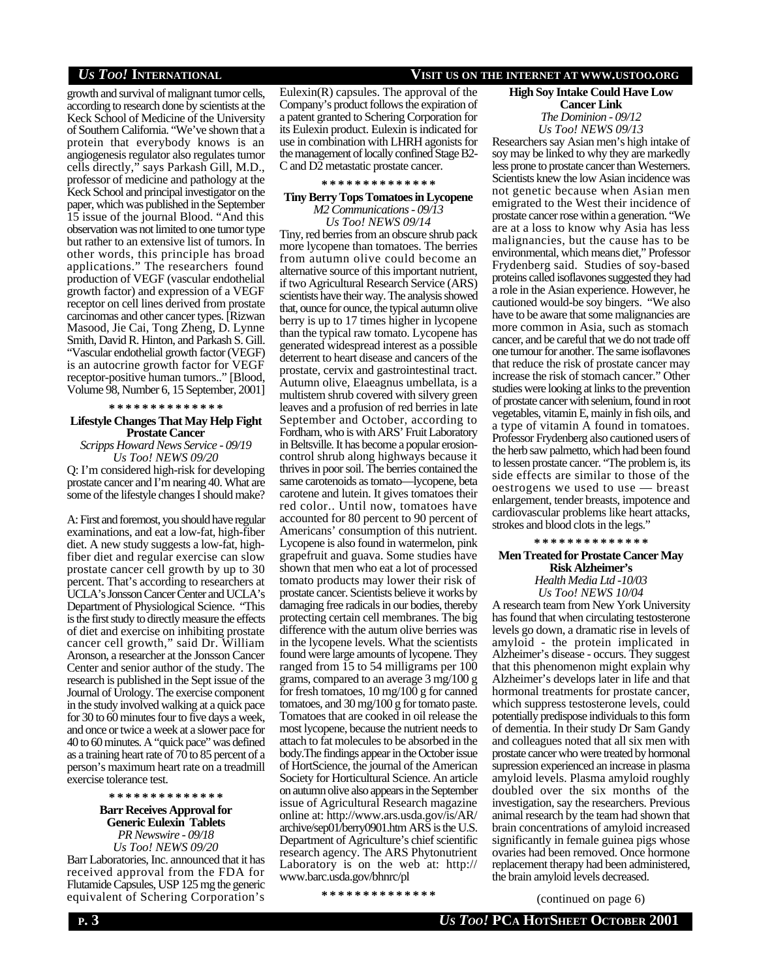growth and survival of malignant tumor cells, according to research done by scientists at the Keck School of Medicine of the University of Southern California. "We've shown that a protein that everybody knows is an angiogenesis regulator also regulates tumor cells directly," says Parkash Gill, M.D., professor of medicine and pathology at the Keck School and principal investigator on the paper, which was published in the September 15 issue of the journal Blood. "And this observation was not limited to one tumor type but rather to an extensive list of tumors. In other words, this principle has broad applications." The researchers found production of VEGF (vascular endothelial growth factor) and expression of a VEGF receptor on cell lines derived from prostate carcinomas and other cancer types. [Rizwan Masood, Jie Cai, Tong Zheng, D. Lynne Smith, David R. Hinton, and Parkash S. Gill. "Vascular endothelial growth factor (VEGF) is an autocrine growth factor for VEGF receptor-positive human tumors.." [Blood, Volume 98, Number 6, 15 September, 2001]

**\* \* \* \* \* \* \* \* \* \* \* \* \* \***

## **Lifestyle Changes That May Help Fight Prostate Cancer**

*Scripps Howard News Service - 09/19 Us Too! NEWS 09/20*

Q: I'm considered high-risk for developing prostate cancer and I'm nearing 40. What are some of the lifestyle changes I should make?

A: First and foremost, you should have regular examinations, and eat a low-fat, high-fiber diet. A new study suggests a low-fat, highfiber diet and regular exercise can slow prostate cancer cell growth by up to 30 percent. That's according to researchers at UCLA's Jonsson Cancer Center and UCLA's Department of Physiological Science. "This is the first study to directly measure the effects of diet and exercise on inhibiting prostate cancer cell growth," said Dr. William Aronson, a researcher at the Jonsson Cancer Center and senior author of the study. The research is published in the Sept issue of the Journal of Urology. The exercise component in the study involved walking at a quick pace for 30 to 60 minutes four to five days a week, and once or twice a week at a slower pace for 40 to 60 minutes. A "quick pace" was defined as a training heart rate of 70 to 85 percent of a person's maximum heart rate on a treadmill exercise tolerance test.

**\* \* \* \* \* \* \* \* \* \* \* \* \* \***

**Barr Receives Approval for Generic Eulexin Tablets** *PR Newswire - 09/18 Us Too! NEWS 09/20*

Barr Laboratories, Inc. announced that it has received approval from the FDA for Flutamide Capsules, USP 125 mg the generic equivalent of Schering Corporation's Eulexin(R) capsules. The approval of the Company's product follows the expiration of a patent granted to Schering Corporation for its Eulexin product. Eulexin is indicated for use in combination with LHRH agonists for the management of locally confined Stage B2- C and D2 metastatic prostate cancer.

**\* \* \* \* \* \* \* \* \* \* \* \* \* \***

## **Tiny Berry Tops Tomatoes in Lycopene** *M2 Communications - 09/13*

*Us Too! NEWS 09/14*

Tiny, red berries from an obscure shrub pack more lycopene than tomatoes. The berries from autumn olive could become an alternative source of this important nutrient, if two Agricultural Research Service (ARS) scientists have their way. The analysis showed that, ounce for ounce, the typical autumn olive berry is up to 17 times higher in lycopene than the typical raw tomato. Lycopene has generated widespread interest as a possible deterrent to heart disease and cancers of the prostate, cervix and gastrointestinal tract. Autumn olive, Elaeagnus umbellata, is a multistem shrub covered with silvery green leaves and a profusion of red berries in late September and October, according to Fordham, who is with ARS' Fruit Laboratory in Beltsville. It has become a popular erosioncontrol shrub along highways because it thrives in poor soil. The berries contained the same carotenoids as tomato—lycopene, beta carotene and lutein. It gives tomatoes their red color.. Until now, tomatoes have accounted for 80 percent to 90 percent of Americans' consumption of this nutrient. Lycopene is also found in watermelon, pink grapefruit and guava. Some studies have shown that men who eat a lot of processed tomato products may lower their risk of prostate cancer. Scientists believe it works by damaging free radicals in our bodies, thereby protecting certain cell membranes. The big difference with the autum olive berries was in the lycopene levels. What the scientists found were large amounts of lycopene. They ranged from 15 to 54 milligrams per 100 grams, compared to an average 3 mg/100 g for fresh tomatoes, 10 mg/100 g for canned tomatoes, and 30 mg/100 g for tomato paste. Tomatoes that are cooked in oil release the most lycopene, because the nutrient needs to attach to fat molecules to be absorbed in the body.The findings appear in the October issue of HortScience, the journal of the American Society for Horticultural Science. An article on autumn olive also appears in the September issue of Agricultural Research magazine online at: http://www.ars.usda.gov/is/AR/ archive/sep01/berry0901.htm ARS is the U.S. Department of Agriculture's chief scientific research agency. The ARS Phytonutrient Laboratory is on the web at: http:// www.barc.usda.gov/bhnrc/pl

**\* \* \* \* \* \* \* \* \* \* \* \* \* \***

## *US TOO!* **INTERNATIONAL VISIT US ON THE INTERNET AT WWW.USTOO.ORG**

**High Soy Intake Could Have Low Cancer Link** *The Dominion - 09/12*

*Us Too! NEWS 09/13*

Researchers say Asian men's high intake of soy may be linked to why they are markedly less prone to prostate cancer than Westerners. Scientists knew the low Asian incidence was not genetic because when Asian men emigrated to the West their incidence of prostate cancer rose within a generation. "We are at a loss to know why Asia has less malignancies, but the cause has to be environmental, which means diet," Professor Frydenberg said. Studies of soy-based proteins called isoflavones suggested they had a role in the Asian experience. However, he cautioned would-be soy bingers. "We also have to be aware that some malignancies are more common in Asia, such as stomach cancer, and be careful that we do not trade off one tumour for another. The same isoflavones that reduce the risk of prostate cancer may increase the risk of stomach cancer." Other studies were looking at links to the prevention of prostate cancer with selenium, found in root vegetables, vitamin E, mainly in fish oils, and a type of vitamin A found in tomatoes. Professor Frydenberg also cautioned users of the herb saw palmetto, which had been found to lessen prostate cancer. "The problem is, its side effects are similar to those of the oestrogens we used to use — breast enlargement, tender breasts, impotence and cardiovascular problems like heart attacks, strokes and blood clots in the legs."

**\* \* \* \* \* \* \* \* \* \* \* \* \* \***

## **Men Treated for Prostate Cancer May Risk Alzheimer's**

*Health Media Ltd -10/03 Us Too! NEWS 10/04*

A research team from New York University has found that when circulating testosterone levels go down, a dramatic rise in levels of amyloid - the protein implicated in Alzheimer's disease - occurs. They suggest that this phenomenon might explain why Alzheimer's develops later in life and that hormonal treatments for prostate cancer, which suppress testosterone levels, could potentially predispose individuals to this form of dementia. In their study Dr Sam Gandy and colleagues noted that all six men with prostate cancer who were treated by hormonal supression experienced an increase in plasma amyloid levels. Plasma amyloid roughly doubled over the six months of the investigation, say the researchers. Previous animal research by the team had shown that brain concentrations of amyloid increased significantly in female guinea pigs whose ovaries had been removed. Once hormone replacement therapy had been administered, the brain amyloid levels decreased.

(continued on page 6)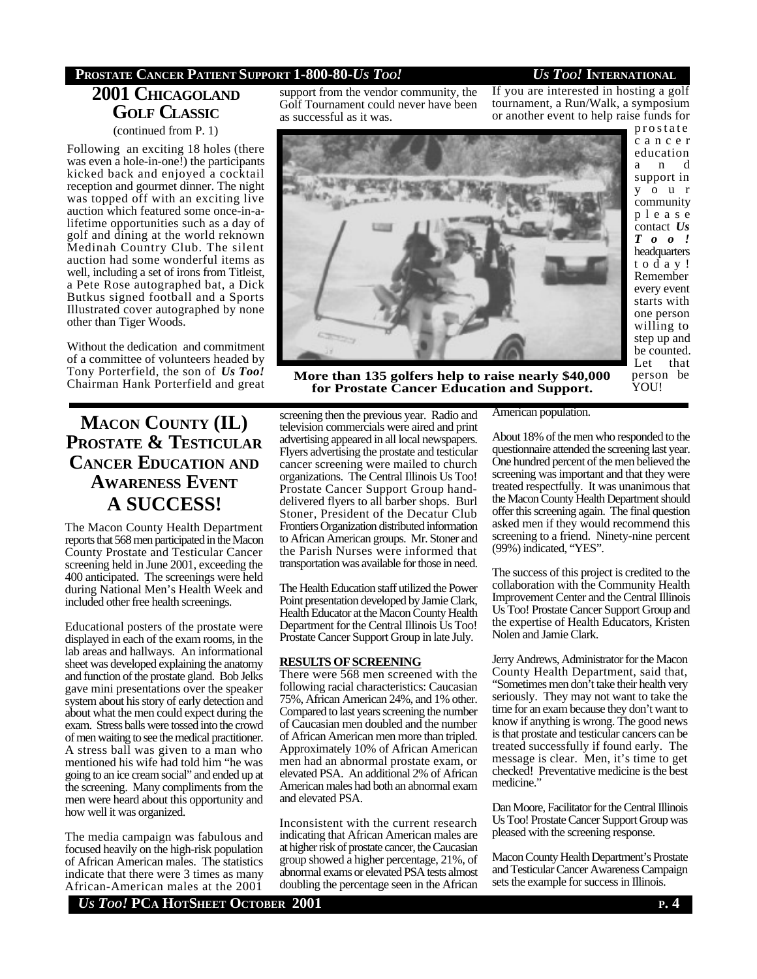## **PROSTATE CANCER PATIENT SUPPORT 1-800-80-***US TOO! US TOO!* **INTERNATIONAL**

## **2001 CHICAGOLAND GOLF CLASSIC** (continued from P. 1)

Following an exciting 18 holes (there was even a hole-in-one!) the participants kicked back and enjoyed a cocktail reception and gourmet dinner. The night was topped off with an exciting live auction which featured some once-in-alifetime opportunities such as a day of golf and dining at the world reknown Medinah Country Club. The silent auction had some wonderful items as well, including a set of irons from Titleist, a Pete Rose autographed bat, a Dick Butkus signed football and a Sports Illustrated cover autographed by none other than Tiger Woods.

Without the dedication and commitment of a committee of volunteers headed by Tony Porterfield, the son of *Us Too!* Chairman Hank Porterfield and great

# **MACON COUNTY (IL) PROSTATE & TESTICULAR CANCER EDUCATION AND AWARENESS EVENT A SUCCESS!**

The Macon County Health Department reports that 568 men participated in the Macon County Prostate and Testicular Cancer screening held in June 2001, exceeding the 400 anticipated. The screenings were held during National Men's Health Week and included other free health screenings.

Educational posters of the prostate were displayed in each of the exam rooms, in the lab areas and hallways. An informational sheet was developed explaining the anatomy and function of the prostate gland. Bob Jelks gave mini presentations over the speaker system about his story of early detection and about what the men could expect during the exam. Stress balls were tossed into the crowd of men waiting to see the medical practitioner. A stress ball was given to a man who mentioned his wife had told him "he was going to an ice cream social" and ended up at the screening. Many compliments from the men were heard about this opportunity and how well it was organized.

The media campaign was fabulous and focused heavily on the high-risk population of African American males. The statistics indicate that there were 3 times as many African-American males at the 2001

support from the vendor community, the Golf Tournament could never have been as successful as it was.

If you are interested in hosting a golf tournament, a Run/Walk, a symposium or another event to help raise funds for prostate



c a n c e r education a n d support in y o u r community p l e a s e contact *Us T o o !* headquarters t o d a y ! Remember every event starts with one person willing to step up and be counted. Let that person be YOU!

**More than 135 golfers help to raise nearly \$40,000 for Prostate Cancer Education and Support.**

screening then the previous year. Radio and television commercials were aired and print advertising appeared in all local newspapers. Flyers advertising the prostate and testicular cancer screening were mailed to church organizations. The Central Illinois Us Too! Prostate Cancer Support Group handdelivered flyers to all barber shops. Burl Stoner, President of the Decatur Club Frontiers Organization distributed information to African American groups. Mr. Stoner and the Parish Nurses were informed that transportation was available for those in need.

The Health Education staff utilized the Power Point presentation developed by Jamie Clark, Health Educator at the Macon County Health Department for the Central Illinois Us Too! Prostate Cancer Support Group in late July.

## **RESULTS OFSCREENING**

There were 568 men screened with the following racial characteristics: Caucasian 75%, African American 24%, and 1% other. Compared to last years screening the number of Caucasian men doubled and the number of African American men more than tripled. Approximately 10% of African American men had an abnormal prostate exam, or elevated PSA. An additional 2% of African American males had both an abnormal exam and elevated PSA.

Inconsistent with the current research indicating that African American males are at higher risk of prostate cancer, the Caucasian group showed a higher percentage, 21%, of abnormal exams or elevated PSA tests almost doubling the percentage seen in the African American population.

About 18% of the men who responded to the questionnaire attended the screening last year. One hundred percent of the men believed the screening was important and that they were treated respectfully. It was unanimous that the Macon County Health Department should offer this screening again. The final question asked men if they would recommend this screening to a friend. Ninety-nine percent (99%) indicated, "YES".

The success of this project is credited to the collaboration with the Community Health Improvement Center and the Central Illinois Us Too! Prostate Cancer Support Group and the expertise of Health Educators, Kristen Nolen and Jamie Clark.

Jerry Andrews, Administrator for the Macon County Health Department, said that, "Sometimes men don't take their health very seriously. They may not want to take the time for an exam because they don't want to know if anything is wrong. The good news is that prostate and testicular cancers can be treated successfully if found early. The message is clear. Men, it's time to get checked! Preventative medicine is the best medicine.'

Dan Moore, Facilitator for the Central Illinois Us Too! Prostate Cancer Support Group was pleased with the screening response.

Macon County Health Department's Prostate and Testicular Cancer Awareness Campaign sets the example for success in Illinois.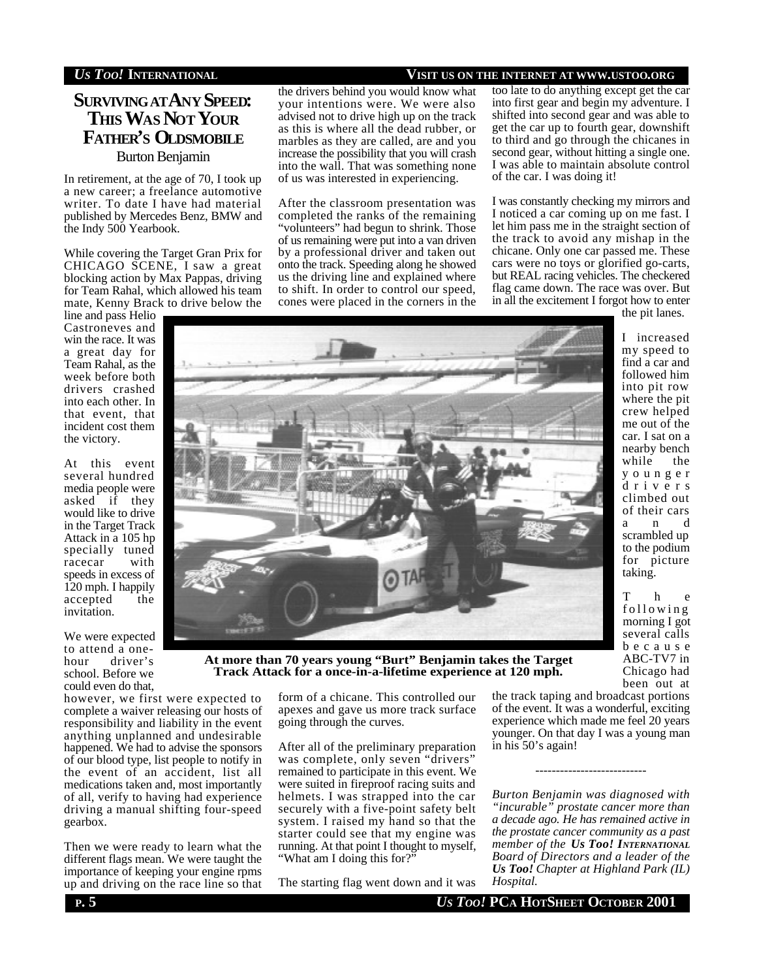## *US TOO!* **INTERNATIONAL VISIT US ON THE INTERNET AT WWW.USTOO.ORG**

# **SURVIVINGATANY SPEED: THIS WAS NOT YOUR FATHER'S OLDSMOBILE**

Burton Benjamin

In retirement, at the age of 70, I took up a new career; a freelance automotive writer. To date I have had material published by Mercedes Benz, BMW and the Indy 500 Yearbook.

While covering the Target Gran Prix for CHICAGO SCENE, I saw a great blocking action by Max Pappas, driving for Team Rahal, which allowed his team mate, Kenny Brack to drive below the

line and pass Helio Castroneves and win the race. It was a great day for Team Rahal, as the week before both drivers crashed into each other. In that event, that incident cost them the victory.

At this event several hundred media people were asked if they would like to drive in the Target Track Attack in a 105 hp specially tuned racecar with speeds in excess of 120 mph. I happily accepted the invitation.

We were expected to attend a onehour driver's school. Before we could even do that,

the drivers behind you would know what your intentions were. We were also advised not to drive high up on the track as this is where all the dead rubber, or marbles as they are called, are and you increase the possibility that you will crash into the wall. That was something none of us was interested in experiencing.

After the classroom presentation was completed the ranks of the remaining "volunteers" had begun to shrink. Those of us remaining were put into a van driven by a professional driver and taken out onto the track. Speeding along he showed us the driving line and explained where to shift. In order to control our speed, cones were placed in the corners in the

too late to do anything except get the car into first gear and begin my adventure. I shifted into second gear and was able to get the car up to fourth gear, downshift to third and go through the chicanes in second gear, without hitting a single one. I was able to maintain absolute control of the car. I was doing it!

I was constantly checking my mirrors and I noticed a car coming up on me fast. I let him pass me in the straight section of the track to avoid any mishap in the chicane. Only one car passed me. These cars were no toys or glorified go-carts, but REAL racing vehicles. The checkered flag came down. The race was over. But in all the excitement I forgot how to enter

the pit lanes.



I increased my speed to find a car and followed him into pit row where the pit crew helped me out of the car. I sat on a nearby bench while the y o u n g e r d r i v e r s climbed out of their cars a n d scrambled up to the podium for picture taking.

T h e following morning I got several calls b e c a u s e ABC-TV7 in Chicago had been out at

**At more than 70 years young "Burt" Benjamin takes the Target Track Attack for a once-in-a-lifetime experience at 120 mph.**

however, we first were expected to complete a waiver releasing our hosts of responsibility and liability in the event anything unplanned and undesirable happened. We had to advise the sponsors of our blood type, list people to notify in the event of an accident, list all medications taken and, most importantly of all, verify to having had experience driving a manual shifting four-speed gearbox.

Then we were ready to learn what the different flags mean. We were taught the importance of keeping your engine rpms up and driving on the race line so that form of a chicane. This controlled our apexes and gave us more track surface going through the curves.

After all of the preliminary preparation was complete, only seven "drivers" remained to participate in this event. We were suited in fireproof racing suits and helmets. I was strapped into the car securely with a five-point safety belt system. I raised my hand so that the starter could see that my engine was running. At that point I thought to myself, "What am I doing this for?"

The starting flag went down and it was

the track taping and broadcast portions of the event. It was a wonderful, exciting experience which made me feel 20 years younger. On that day I was a young man in his 50's again!

---------------------------

*Burton Benjamin was diagnosed with "incurable" prostate cancer more than a decade ago. He has remained active in the prostate cancer community as a past member of the Us Too! INTERNATIONAL Board of Directors and a leader of the Us Too! Chapter at Highland Park (IL) Hospital.*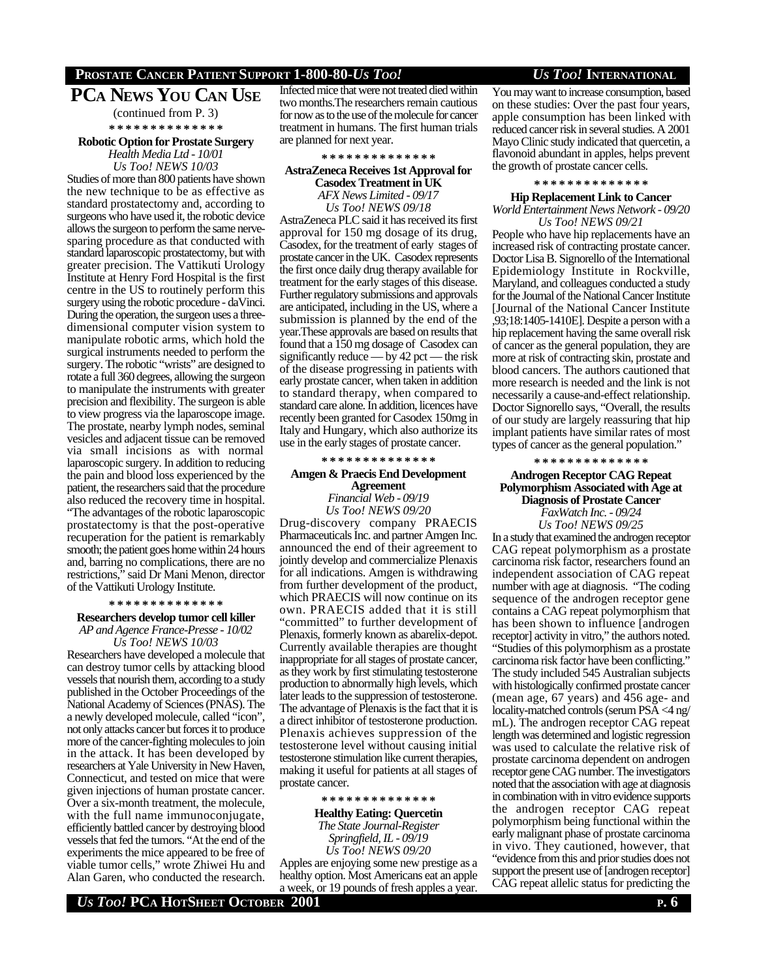## **PROSTATE CANCER PATIENT SUPPORT 1-800-80-***US TOO! US TOO!* **INTERNATIONAL**

## **PCA NEWS YOU CAN USE**

(continued from P. 3) **\* \* \* \* \* \* \* \* \* \* \* \* \* \***

# **Robotic Option for Prostate Surgery**

*Health Media Ltd - 10/01 Us Too! NEWS 10/03*

Studies of more than 800 patients have shown the new technique to be as effective as standard prostatectomy and, according to surgeons who have used it, the robotic device allows the surgeon to perform the same nervesparing procedure as that conducted with standard laparoscopic prostatectomy, but with greater precision. The Vattikuti Urology Institute at Henry Ford Hospital is the first centre in the US to routinely perform this surgery using the robotic procedure - daVinci. During the operation, the surgeon uses a threedimensional computer vision system to manipulate robotic arms, which hold the surgical instruments needed to perform the surgery. The robotic "wrists" are designed to rotate a full 360 degrees, allowing the surgeon to manipulate the instruments with greater precision and flexibility. The surgeon is able to view progress via the laparoscope image. The prostate, nearby lymph nodes, seminal vesicles and adjacent tissue can be removed via small incisions as with normal laparoscopic surgery. In addition to reducing the pain and blood loss experienced by the patient, the researchers said that the procedure also reduced the recovery time in hospital. "The advantages of the robotic laparoscopic prostatectomy is that the post-operative recuperation for the patient is remarkably smooth; the patient goes home within 24 hours and, barring no complications, there are no restrictions," said Dr Mani Menon, director of the Vattikuti Urology Institute.

### **\* \* \* \* \* \* \* \* \* \* \* \* \* \***

## **Researchers develop tumor cell killer**

*AP and Agence France-Presse - 10/02 Us Too! NEWS 10/03*

Researchers have developed a molecule that can destroy tumor cells by attacking blood vessels that nourish them, according to a study published in the October Proceedings of the National Academy of Sciences (PNAS). The a newly developed molecule, called "icon", not only attacks cancer but forces it to produce more of the cancer-fighting molecules to join in the attack. It has been developed by researchers at Yale University in New Haven, Connecticut, and tested on mice that were given injections of human prostate cancer. Over a six-month treatment, the molecule, with the full name immunoconjugate, efficiently battled cancer by destroying blood vessels that fed the tumors. "At the end of the experiments the mice appeared to be free of viable tumor cells," wrote Zhiwei Hu and Alan Garen, who conducted the research.

Infected mice that were not treated died within two months.The researchers remain cautious for now as to the use of the molecule for cancer treatment in humans. The first human trials are planned for next year.

**\* \* \* \* \* \* \* \* \* \* \* \* \* \***

### **AstraZeneca Receives 1st Approval for Casodex Treatment in UK**

*AFX News Limited - 09/17 Us Too! NEWS 09/18*

AstraZeneca PLC said it has received its first approval for 150 mg dosage of its drug, Casodex, for the treatment of early stages of prostate cancer in the UK. Casodex represents the first once daily drug therapy available for treatment for the early stages of this disease. Further regulatory submissions and approvals are anticipated, including in the US, where a submission is planned by the end of the year.These approvals are based on results that found that a 150 mg dosage of Casodex can significantly reduce — by 42 pct — the risk of the disease progressing in patients with early prostate cancer, when taken in addition to standard therapy, when compared to standard care alone. In addition, licences have recently been granted for Casodex 150mg in Italy and Hungary, which also authorize its use in the early stages of prostate cancer.

#### **\* \* \* \* \* \* \* \* \* \* \* \* \* \***

## **Amgen & Praecis End Development Agreement**

*Financial Web - 09/19 Us Too! NEWS 09/20*

Drug-discovery company PRAECIS Pharmaceuticals Inc. and partner Amgen Inc. announced the end of their agreement to jointly develop and commercialize Plenaxis for all indications. Amgen is withdrawing from further development of the product, which PRAECIS will now continue on its own. PRAECIS added that it is still "committed" to further development of Plenaxis, formerly known as abarelix-depot. Currently available therapies are thought inappropriate for all stages of prostate cancer, as they work by first stimulating testosterone production to abnormally high levels, which later leads to the suppression of testosterone. The advantage of Plenaxis is the fact that it is a direct inhibitor of testosterone production. Plenaxis achieves suppression of the testosterone level without causing initial testosterone stimulation like current therapies, making it useful for patients at all stages of prostate cancer.

## **\* \* \* \* \* \* \* \* \* \* \* \* \* \***

**Healthy Eating: Quercetin** *The State Journal-Register*

*Springfield, IL - 09/19 Us Too! NEWS 09/20*

Apples are enjoying some new prestige as a healthy option. Most Americans eat an apple a week, or 19 pounds of fresh apples a year.

You may want to increase consumption, based on these studies: Over the past four years, apple consumption has been linked with reduced cancer risk in several studies. A 2001 Mayo Clinic study indicated that quercetin, a flavonoid abundant in apples, helps prevent the growth of prostate cancer cells.

#### **\* \* \* \* \* \* \* \* \* \* \* \* \* \***

## **Hip Replacement Link to Cancer** *World Entertainment News Network - 09/20*

*Us Too! NEWS 09/21* People who have hip replacements have an increased risk of contracting prostate cancer. Doctor Lisa B. Signorello of the International Epidemiology Institute in Rockville, Maryland, and colleagues conducted a study for the Journal of the National Cancer Institute [Journal of the National Cancer Institute ,93;18:1405-1410E]. Despite a person with a hip replacement having the same overall risk of cancer as the general population, they are more at risk of contracting skin, prostate and blood cancers. The authors cautioned that more research is needed and the link is not necessarily a cause-and-effect relationship. Doctor Signorello says, "Overall, the results of our study are largely reassuring that hip implant patients have similar rates of most types of cancer as the general population."

## **\* \* \* \* \* \* \* \* \* \* \* \* \* \***

## **Androgen Receptor CAG Repeat Polymorphism Associated with Age at Diagnosis of Prostate Cancer**

*FaxWatch Inc. - 09/24 Us Too! NEWS 09/25*

In a study that examined the androgen receptor CAG repeat polymorphism as a prostate carcinoma risk factor, researchers found an independent association of CAG repeat number with age at diagnosis. "The coding sequence of the androgen receptor gene contains a CAG repeat polymorphism that has been shown to influence [androgen receptor] activity in vitro," the authors noted. "Studies of this polymorphism as a prostate carcinoma risk factor have been conflicting." The study included 545 Australian subjects with histologically confirmed prostate cancer (mean age, 67 years) and 456 age- and locality-matched controls (serum PSA <4 ng/ mL). The androgen receptor CAG repeat length was determined and logistic regression was used to calculate the relative risk of prostate carcinoma dependent on androgen receptor gene CAG number. The investigators noted that the association with age at diagnosis in combination with in vitro evidence supports the androgen receptor CAG repeat polymorphism being functional within the early malignant phase of prostate carcinoma in vivo. They cautioned, however, that "evidence from this and prior studies does not support the present use of [androgen receptor] CAG repeat allelic status for predicting the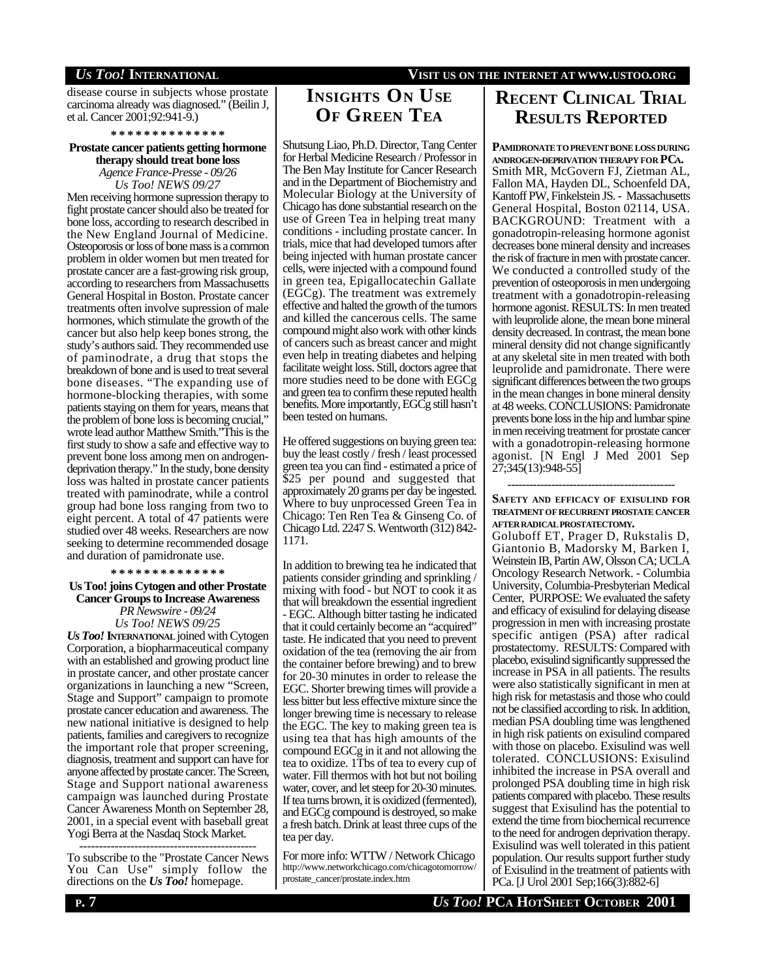## *US TOO!* **INTERNATIONAL VISIT US ON THE INTERNET AT WWW.USTOO.ORG**

disease course in subjects whose prostate carcinoma already was diagnosed." (Beilin J, et al. Cancer 2001;92:941-9.)

**\* \* \* \* \* \* \* \* \* \* \* \* \* \***

### **Prostate cancer patients getting hormone therapy should treat bone loss** *Agence France-Presse - 09/26*

*Us Too! NEWS 09/27*

Men receiving hormone supression therapy to fight prostate cancer should also be treated for bone loss, according to research described in the New England Journal of Medicine. Osteoporosis or loss of bone mass is a common problem in older women but men treated for prostate cancer are a fast-growing risk group, according to researchers from Massachusetts General Hospital in Boston. Prostate cancer treatments often involve supression of male hormones, which stimulate the growth of the cancer but also help keep bones strong, the study's authors said. They recommended use of paminodrate, a drug that stops the breakdown of bone and is used to treat several bone diseases. "The expanding use of hormone-blocking therapies, with some patients staying on them for years, means that the problem of bone loss is becoming crucial," wrote lead author Matthew Smith."This is the first study to show a safe and effective way to prevent bone loss among men on androgendeprivation therapy." In the study, bone density loss was halted in prostate cancer patients treated with paminodrate, while a control group had bone loss ranging from two to eight percent. A total of 47 patients were studied over 48 weeks. Researchers are now seeking to determine recommended dosage and duration of pamidronate use.

### **\* \* \* \* \* \* \* \* \* \* \* \* \* \***

**Us Too! joins Cytogen and other Prostate Cancer Groups to Increase Awareness**

*PR Newswire - 09/24 Us Too! NEWS 09/25*

*Us Too!* **INTERNATIONAL** joined with Cytogen Corporation, a biopharmaceutical company with an established and growing product line in prostate cancer, and other prostate cancer organizations in launching a new "Screen, Stage and Support" campaign to promote prostate cancer education and awareness. The new national initiative is designed to help patients, families and caregivers to recognize the important role that proper screening, diagnosis, treatment and support can have for anyone affected by prostate cancer. The Screen, Stage and Support national awareness campaign was launched during Prostate Cancer Awareness Month on September 28, 2001, in a special event with baseball great Yogi Berra at the Nasdaq Stock Market.

--------------------------------------------- To subscribe to the "Prostate Cancer News You Can Use" simply follow the directions on the *Us Too!* homepage.

# **INSIGHTS ON USE OF GREEN TEA**

Shutsung Liao, Ph.D. Director, Tang Center for Herbal Medicine Research / Professor in The Ben May Institute for Cancer Research and in the Department of Biochemistry and Molecular Biology at the University of Chicago has done substantial research on the use of Green Tea in helping treat many conditions - including prostate cancer. In trials, mice that had developed tumors after being injected with human prostate cancer cells, were injected with a compound found in green tea, Epigallocatechin Gallate (EGCg). The treatment was extremely effective and halted the growth of the tumors and killed the cancerous cells. The same compound might also work with other kinds of cancers such as breast cancer and might even help in treating diabetes and helping facilitate weight loss. Still, doctors agree that more studies need to be done with EGCg and green tea to confirm these reputed health benefits. More importantly, EGCg still hasn't been tested on humans.

He offered suggestions on buying green tea: buy the least costly / fresh / least processed green tea you can find - estimated a price of \$25 per pound and suggested that approximately 20 grams per day be ingested. Where to buy unprocessed Green Tea in Chicago: Ten Ren Tea & Ginseng Co. of Chicago Ltd. 2247 S. Wentworth (312) 842- 1171.

In addition to brewing tea he indicated that patients consider grinding and sprinkling / mixing with food - but NOT to cook it as that will breakdown the essential ingredient - EGC. Although bitter tasting he indicated that it could certainly become an "acquired" taste. He indicated that you need to prevent oxidation of the tea (removing the air from the container before brewing) and to brew for 20-30 minutes in order to release the EGC. Shorter brewing times will provide a less bitter but less effective mixture since the longer brewing time is necessary to release the EGC. The key to making green tea is using tea that has high amounts of the compound EGCg in it and not allowing the tea to oxidize. 1Tbs of tea to every cup of water. Fill thermos with hot but not boiling water, cover, and let steep for 20-30 minutes. If tea turns brown, it is oxidized (fermented), and EGCg compound is destroyed, so make a fresh batch. Drink at least three cups of the tea per day.

For more info: WTTW / Network Chicago http://www.networkchicago.com/chicagotomorrow/ prostate\_cancer/prostate.index.htm

# **RECENT CLINICAL TRIAL RESULTS REPORTED**

**PAMIDRONATETOPREVENTBONELOSS DURING ANDROGEN-DEPRIVATION THERAPY FOR PCA.** Smith MR, McGovern FJ, Zietman AL, Fallon MA, Hayden DL, Schoenfeld DA, Kantoff PW, Finkelstein JS. - Massachusetts General Hospital, Boston 02114, USA. BACKGROUND: Treatment with a gonadotropin-releasing hormone agonist decreases bone mineral density and increases the risk of fracture in men with prostate cancer. We conducted a controlled study of the prevention of osteoporosis in men undergoing treatment with a gonadotropin-releasing hormone agonist. RESULTS: In men treated with leuprolide alone, the mean bone mineral density decreased. In contrast, the mean bone mineral density did not change significantly at any skeletal site in men treated with both leuprolide and pamidronate. There were significant differences between the two groups in the mean changes in bone mineral density at 48 weeks. CONCLUSIONS: Pamidronate prevents bone loss in the hip and lumbar spine in men receiving treatment for prostate cancer with a gonadotropin-releasing hormone agonist. [N Engl J Med 2001 Sep 27;345(13):948-55]

## **SAFETY AND EFFICACY OF EXISULIND FOR TREATMENT OF RECURRENT PROSTATE CANCER AFTERRADICALPROSTATECTOMY.**

----------------------------------------------

Goluboff ET, Prager D, Rukstalis D, Giantonio B, Madorsky M, Barken I, Weinstein IB, Partin AW, Olsson CA; UCLA Oncology Research Network. - Columbia University, Columbia-Presbyterian Medical Center, PURPOSE: We evaluated the safety and efficacy of exisulind for delaying disease progression in men with increasing prostate specific antigen (PSA) after radical prostatectomy. RESULTS: Compared with placebo, exisulind significantly suppressed the increase in PSA in all patients. The results were also statistically significant in men at high risk for metastasis and those who could not be classified according to risk. In addition, median PSA doubling time was lengthened in high risk patients on exisulind compared with those on placebo. Exisulind was well tolerated. CONCLUSIONS: Exisulind inhibited the increase in PSA overall and prolonged PSA doubling time in high risk patients compared with placebo. These results suggest that Exisulind has the potential to extend the time from biochemical recurrence to the need for androgen deprivation therapy. Exisulind was well tolerated in this patient population. Our results support further study of Exisulind in the treatment of patients with PCa. [J Urol 2001 Sep;166(3):882-6]